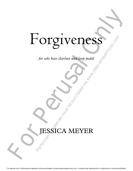# For given bass daring and toop pedal<br>for solo bass daring and toop pedal<br>Specifical MEYER Forgiveness Per solo bass clarinet and loop pedal<br>for solo bass clarinet and loop pedal<br>**PESSICA MEYER**

*for solo bass clarinet and loop pedal*

# JESSICA MEYER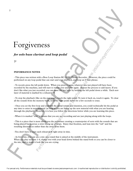# Forgiveness

# *for solo bass clarinet and loop pedal*

## **7'**

### **PEFORMANCE NOTES**

- This piece was written with a Boss Loop Station RC-20XL Phrase Recorder. However, the piece could be performed on any loop pedal that can start and stop playback, and loop an 8 beat phrase.

**For Perusal Constant Constant Constant Constant Constant Constant Constant Constant Constant Constant Constant Constant Constant Constant Constant Constant Constant Constant Constant Constant Constant Constant Constant C** - To record, press the left pedal down. When you press it again, whatever you just played will have been recorded by the machine, and will start to repeat over and over again. Repeat the process to add layers. If you don't like what you just recorded, you can erase the last layer by holding the left pedal down a while. Each new layer of material is marked by a rehearsal #. **PERFORE SET ASSES**<br> **EXERCT AND A REVENUE AND A REVENUE ARE SECULIPS AND A REVENUE ARE IN THE AND A REVENUE ARE AND NOTE AND A REVENUE AND A REVENUE AND MONETA CHE AND A REVENUE AND MONETA CHE AND MONETA CHE AND MONETA C** 

- To stop the playback (like on the past page), touch the right pedal. To turn it back on, touch it again. To clear all the sounds from the memory bank, hold the right pedal down for a few seconds to erase.

- Once you set the first loop and establish the initial tempo and duration, you could technically hit the pedal at any time to enter in new material (as long as you are lining up the new material with what you are hearing through the playback). However, it is best you follow the directions below while you are learning this piece.

- When it is marked "solo" it means that you are not recording and are just playing along with the loops.

- This is a piece that is more about you the performer creating a counterpoint of sorts with the sounds that are being played back versus a strict lining up of loops. Enjoy that freedom, and lean into the "rub" and the resulting dissonances rather than shy away from them.

- You don't have to start each rehearsal # right away in time.

- As for a mic, you can use a mic on a stand that is aimed at the middle of the instrument. When you play sections 1-4, slump over with your head down behind the stand both so you can be closer to the mic, and to make it look like you are crying.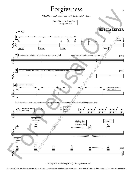# Forgiveness

3

*"We'll hurt each other, and we'll do it again" - Bono*



©2015 JMM Publishing (BMI). All rights reserved.

For perusal only. Performance materials must be purchased via www.jessicameyermusic.com. Unauthorized reproduction or distribution is strictly prohibited.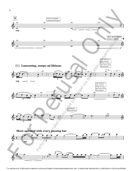